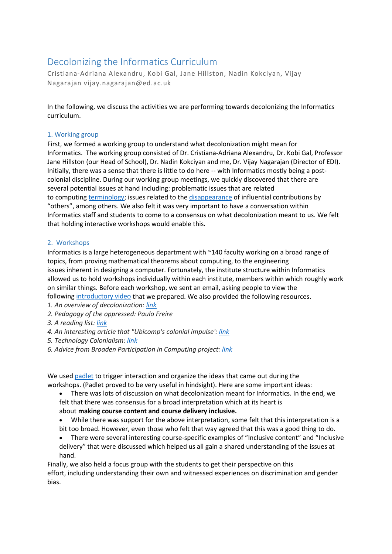# Decolonizing the Informatics Curriculum

Cristiana-Adriana Alexandru, Kobi Gal, Jane Hillston, Nadin Kokciyan, Vijay Nagarajan vijay.nagarajan@ed.ac.uk

In the following, we discuss the activities we are performing towards decolonizing the Informatics curriculum.

### 1. Working group

First, we formed a working group to understand what decolonization might mean for Informatics. The working group consisted of Dr. Cristiana-Adriana Alexandru, Dr. Kobi Gal, Professor Jane Hillston (our Head of School), Dr. Nadin Kokciyan and me, Dr. Vijay Nagarajan (Director of EDI). Initially, there was a sense that there is little to do here -- with Informatics mostly being a postcolonial discipline. During our working group meetings, we quickly discovered that there are several potential issues at hand including: problematic issues that are related to computing [terminology;](https://www.acm.org/diversity-inclusion/words-matter) issues related to the [disappearance](https://www.computer.org/csdl/magazine/co/2018/10/mco2018100066/17D45WXIkDI) of influential contributions by "others", among others. We also felt it was very important to have a conversation within Informatics staff and students to come to a consensus on what decolonization meant to us. We felt that holding interactive workshops would enable this.

## 2. Workshops

Informatics is a large heterogeneous department with ~140 faculty working on a broad range of topics, from proving mathematical theorems about computing, to the engineering issues inherent in designing a computer. Fortunately, the institute structure within Informatics allowed us to hold workshops individually within each institute, members within which roughly work on similar things. Before each workshop, we sent an email, asking people to view the following [introductory video](https://uoe.sharepoint.com/:v:/s/Decolonisingourcurriculum/EccxZ8R3XHNKjsyBEWWMVTYB3s8Bdtk1WX1d_suau8vaXw) that we prepared. We also provided the following resources.

- *1. An overview of decolonization: [link](https://insights.uksg.org/articles/10.1629/uksg.475/#:%7E:text=%27decolonizing%20the%20curriculum%20means%20creating,how%20it%20frames%20the%20world.%27)*
- *2. Pedagogy of the oppressed: Paulo Freire*
- *3. A reading list: [link](https://beatricemartini.it/blog/decolonizing-technology-reading-list/)*
- *4. An interesting article that "Ubicomp's colonial impulse': [link](https://dourish.com/publications/2012/ubicomp2012-colonial.pdf)*
- *5. Technology Colonialism: [link](https://modelviewculture.com/pieces/technology-colonialism)*
- *6. Advice from Broaden Participation in Computing project: [link](https://bpcnet.org/resources-one-page/#curriculum-pedagogy)*

We used [padlet](https://padlet.com/) to trigger interaction and organize the ideas that came out during the workshops. (Padlet proved to be very useful in hindsight). Here are some important ideas:

- There was lots of discussion on what decolonization meant for Informatics. In the end, we felt that there was consensus for a broad interpretation which at its heart is about **making course content and course delivery inclusive.**
- While there was support for the above interpretation, some felt that this interpretation is a bit too broad. However, even those who felt that way agreed that this was a good thing to do.
- There were several interesting course-specific examples of "Inclusive content" and "Inclusive delivery" that were discussed which helped us all gain a shared understanding of the issues at hand.

Finally, we also held a focus group with the students to get their perspective on this effort, including understanding their own and witnessed experiences on discrimination and gender bias.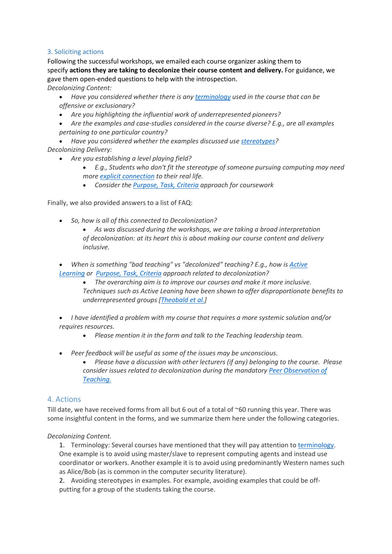## 3. Soliciting actions

Following the successful workshops, we emailed each course organizer asking them to specify **actions they are taking to decolonize their course content and delivery.** For guidance, we gave them open-ended questions to help with the introspection.

*Decolonizing Content:*

- *Have you considered whether there is any [terminology](https://www.acm.org/diversity-inclusion/words-matter) used in the course that can be offensive or exclusionary?*
- *Are you highlighting the influential work of underrepresented pioneers?*
- *Are the examples and case-studies considered in the course diverse? E.g., are all examples pertaining to one particular country?*
- *Have you considered whether the examples discussed use [stereotypes?](https://ncwit.org/engagement-practices-framework-community-stereotypes/) Decolonizing Delivery:*
	- *Are you establishing a level playing field?*
		- *E.g., Students who don't fit the stereotype of someone pursuing computing may need more [explicit connection](https://www.ncwit.org/engagement-practices/make-it-matter) to their real life.*
		- *Consider the [Purpose, Task, Criteria](https://tilthighered.com/tiltexamplesandresources) approach for coursework*

Finally, we also provided answers to a list of FAQ:

• *So, how is all of this connected to Decolonization?*

• *As was discussed during the workshops, we are taking a broad interpretation of decolonization: at its heart this is about making our course content and delivery inclusive.*

- When is something "bad teaching" vs "decolonized" teaching? E.g., how is Active *[Learning](https://en.wikipedia.org/wiki/Active_learning) or [Purpose, Task, Criteria](https://tilthighered.com/tiltexamplesandresources) approach related to decolonization?*
	- *The overarching aim is to improve our courses and make it more inclusive. Techniques such as Active Leaning have been shown to offer disproportionate benefits to underrepresented groups [\[Theobald et al.\]](https://www.pnas.org/content/117/12/6476)*
- *I have identified a problem with my course that requires a more systemic solution and/or requires resources.*
	- *Please mention it in the form and talk to the Teaching leadership team.*
- *Peer feedback will be useful as some of the issues may be unconscious.*
	- *Please have a discussion with other lecturers (if any) belonging to the course. Please consider issues related to decolonization during the mandatory [Peer Observation of](https://web.inf.ed.ac.uk/sites/default/files/atoms/files/peer_observation_of_teaching_0.pdf)  [Teaching.](https://web.inf.ed.ac.uk/sites/default/files/atoms/files/peer_observation_of_teaching_0.pdf)*

# 4. Actions

Till date, we have received forms from all but 6 out of a total of ~60 running this year. There was some insightful content in the forms, and we summarize them here under the following categories.

#### *Decolonizing Content.*

1. Terminology: Several courses have mentioned that they will pay attention to [terminology.](https://www.acm.org/diversity-inclusion/words-matter) One example is to avoid using master/slave to represent computing agents and instead use coordinator or workers. Another example it is to avoid using predominantly Western names such as Alice/Bob (as is common in the computer security literature).

2. Avoiding stereotypes in examples. For example, avoiding examples that could be offputting for a group of the students taking the course.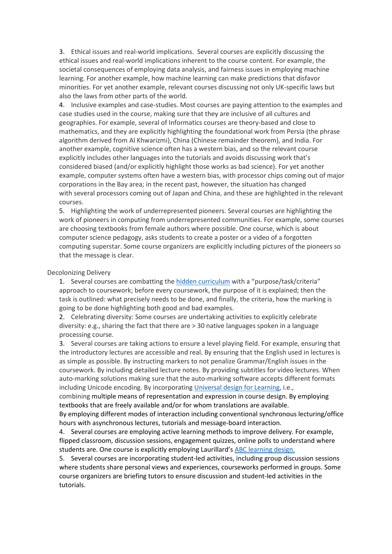3. Ethical issues and real-world implications. Several courses are explicitly discussing the ethical issues and real-world implications inherent to the course content. For example, the societal consequences of employing data analysis, and fairness issues in employing machine learning. For another example, how machine learning can make predictions that disfavor minorities. For yet another example, relevant courses discussing not only UK-specific laws but also the laws from other parts of the world.

4. Inclusive examples and case-studies. Most courses are paying attention to the examples and case studies used in the course, making sure that they are inclusive of all cultures and geographies. For example, several of Informatics courses are theory-based and close to mathematics, and they are explicitly highlighting the foundational work from Persia (the phrase algorithm derived from Al Khwarizmi), China (Chinese remainder theorem), and India. For another example, cognitive science often has a western bias, and so the relevant course explicitly includes other languages into the tutorials and avoids discussing work that's considered biased (and/or explicitly highlight those works as bad science). For yet another example, computer systems often have a western bias, with processor chips coming out of major corporations in the Bay area; in the recent past, however, the situation has changed with several processors coming out of Japan and China, and these are highlighted in the relevant courses.

5. Highlighting the work of underrepresented pioneers. Several courses are highlighting the work of pioneers in computing from underrepresented communities. For example, some courses are choosing textbooks from female authors where possible. One course, which is about computer science pedagogy, asks students to create a poster or a video of a forgotten computing superstar. Some course organizers are explicitly including pictures of the pioneers so that the message is clear.

#### Decolonizing Delivery

1. Several courses are combatting the [hidden curriculum](https://en.wikipedia.org/wiki/Hidden_curriculum#:%7E:text=A%20hidden%20curriculum%20is%20a,the%20classroom%20and%20social%20environment.) with a "purpose/task/criteria" approach to coursework; before every coursework, the purpose of it is explained; then the task is outlined: what precisely needs to be done, and finally, the criteria, how the marking is going to be done highlighting both good and bad examples.

2. Celebrating diversity: Some courses are undertaking activities to explicitly celebrate diversity: e.g., sharing the fact that there are > 30 native languages spoken in a language processing course.

3. Several courses are taking actions to ensure a level playing field. For example, ensuring that the introductory lectures are accessible and real. By ensuring that the English used in lectures is as simple as possible. By instructing markers to not penalize Grammar/English issues in the coursework. By including detailed lecture notes. By providing subtitles for video lectures. When auto-marking solutions making sure that the auto-marking software accepts different formats including Unicode encoding. By incorporating [Universal design for Learning,](https://en.wikipedia.org/wiki/Universal_Design_for_Learning) i.e.,

combining multiple means of representation and expression in course design. By employing textbooks that are freely available and/or for whom translations are available.

By employing different modes of interaction including conventional synchronous lecturing/office hours with asynchronous lectures, tutorials and message-board interaction.

4. Several courses are employing active learning methods to improve delivery. For example, flipped classroom, discussion sessions, engagement quizzes, online polls to understand where students are. One course is explicitly employing Laurillard's [ABC learning design.](https://abc-ld.org/6-learning-types/)

5. Several courses are incorporating student-led activities, including group discussion sessions where students share personal views and experiences, courseworks performed in groups. Some course organizers are briefing tutors to ensure discussion and student-led activities in the tutorials.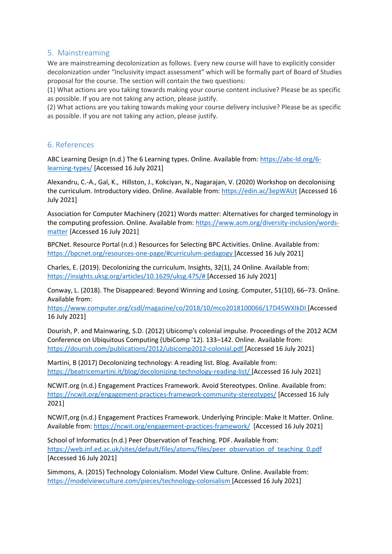# 5. Mainstreaming

We are mainstreaming decolonization as follows. Every new course will have to explicitly consider decolonization under "Inclusivity impact assessment" which will be formally part of Board of Studies proposal for the course. The section will contain the two questions:

(1) What actions are you taking towards making your course content inclusive? Please be as specific as possible. If you are not taking any action, please justify.

(2) What actions are you taking towards making your course delivery inclusive? Please be as specific as possible. If you are not taking any action, please justify.

# 6. References

ABC Learning Design (n.d.) The 6 Learning types. Online. Available from: [https://abc-ld.org/6](https://abc-ld.org/6-learning-types/) [learning-types/](https://abc-ld.org/6-learning-types/) [Accessed 16 July 2021]

Alexandru, C.-A., Gal, K., Hillston, J., Kokciyan, N., Nagarajan, V. (2020) Workshop on decolonising the curriculum. Introductory video. Online. Available from[: https://edin.ac/3epWAUt](https://edin.ac/3epWAUt) [Accessed 16 July 2021]

Association for Computer Machinery (2021) Words matter: Alternatives for charged terminology in the computing profession. Online. Available from: [https://www.acm.org/diversity-inclusion/words](https://www.acm.org/diversity-inclusion/words-matter)[matter](https://www.acm.org/diversity-inclusion/words-matter) [Accessed 16 July 2021]

BPCNet. Resource Portal (n.d.) Resources for Selecting BPC Activities. Online. Available from: <https://bpcnet.org/resources-one-page/#curriculum-pedagogy> [Accessed 16 July 2021]

Charles, E. (2019). Decolonizing the curriculum. Insights, 32(1), 24 Online. Available from: [https://insights.uksg.org/articles/10.1629/uksg.475/#](https://insights.uksg.org/articles/10.1629/uksg.475/) [Accessed 16 July 2021]

Conway, L. (2018). The Disappeared: Beyond Winning and Losing. Computer, 51(10), 66–73. Online. Available from:

<https://www.computer.org/csdl/magazine/co/2018/10/mco2018100066/17D45WXIkDI> [Accessed 16 July 2021]

Dourish, P. and Mainwaring, S.D. (2012) Ubicomp's colonial impulse. Proceedings of the 2012 ACM Conference on Ubiquitous Computing (UbiComp '12). 133–142. Online. Available from: <https://dourish.com/publications/2012/ubicomp2012-colonial.pdf> [Accessed 16 July 2021]

Martini, B (2017) Decolonizing technology: A reading list. Blog. Available from: <https://beatricemartini.it/blog/decolonizing-technology-reading-list/> [Accessed 16 July 2021]

NCWIT.org (n.d.) Engagement Practices Framework. Avoid Stereotypes. Online. Available from: <https://ncwit.org/engagement-practices-framework-community-stereotypes/> [Accessed 16 July 2021]

NCWIT,org (n.d.) Engagement Practices Framework. Underlying Principle: Make It Matter. Online. Available from:<https://ncwit.org/engagement-practices-framework/>[Accessed 16 July 2021]

School of Informatics (n.d.) Peer Observation of Teaching. PDF. Available from: [https://web.inf.ed.ac.uk/sites/default/files/atoms/files/peer\\_observation\\_of\\_teaching\\_0.pdf](https://web.inf.ed.ac.uk/sites/default/files/atoms/files/peer_observation_of_teaching_0.pdf) [Accessed 16 July 2021]

Simmons, A. (2015) Technology Colonialism. Model View Culture. Online. Available from: <https://modelviewculture.com/pieces/technology-colonialism> [Accessed 16 July 2021]